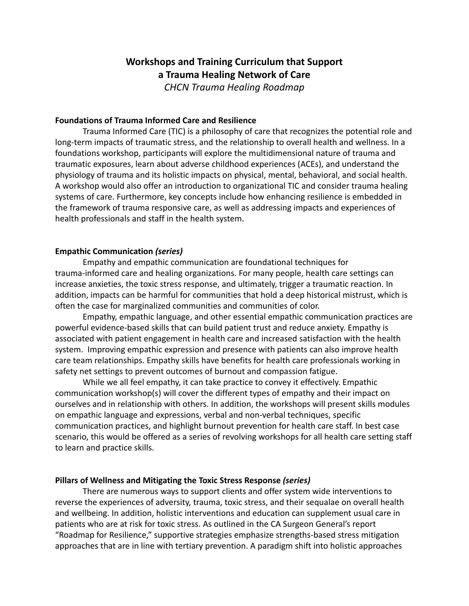# **Workshops and Training Curriculum that Support a Trauma Healing Network of Care**

*CHCN Trauma Healing Roadmap*

# **Foundations of Trauma Informed Care and Resilience**

Trauma Informed Care (TIC) is a philosophy of care that recognizes the potential role and long-term impacts of traumatic stress, and the relationship to overall health and wellness. In a foundations workshop, participants will explore the multidimensional nature of trauma and traumatic exposures, learn about adverse childhood experiences (ACEs), and understand the physiology of trauma and its holistic impacts on physical, mental, behavioral, and social health. A workshop would also offer an introduction to organizational TIC and consider trauma healing systems of care. Furthermore, key concepts include how enhancing resilience is embedded in the framework of trauma responsive care, as well as addressing impacts and experiences of health professionals and staff in the health system.

# **Empathic Communication** *(series)*

Empathy and empathic communication are foundational techniques for trauma-informed care and healing organizations. For many people, health care settings can increase anxieties, the toxic stress response, and ultimately, trigger a traumatic reaction. In addition, impacts can be harmful for communities that hold a deep historical mistrust, which is often the case for marginalized communities and communities of color.

Empathy, empathic language, and other essential empathic communication practices are powerful evidence-based skills that can build patient trust and reduce anxiety. Empathy is associated with patient engagement in health care and increased satisfaction with the health system. Improving empathic expression and presence with patients can also improve health care team relationships. Empathy skills have benefits for health care professionals working in safety net settings to prevent outcomes of burnout and compassion fatigue.

While we all feel empathy, it can take practice to convey it effectively. Empathic communication workshop(s) will cover the different types of empathy and their impact on ourselves and in relationship with others. In addition, the workshops will present skills modules on empathic language and expressions, verbal and non-verbal techniques, specific communication practices, and highlight burnout prevention for health care staff. In best case scenario, this would be offered as a series of revolving workshops for all health care setting staff to learn and practice skills.

## **Pillars of Wellness and Mitigating the Toxic Stress Response** *(series)*

There are numerous ways to support clients and offer system wide interventions to reverse the experiences of adversity, trauma, toxic stress, and their sequalae on overall health and wellbeing. In addition, holistic interventions and education can supplement usual care in patients who are at risk for toxic stress. As outlined in the CA Surgeon General's report "Roadmap for Resilience," supportive strategies emphasize strengths-based stress mitigation approaches that are in line with tertiary prevention. A paradigm shift into holistic approaches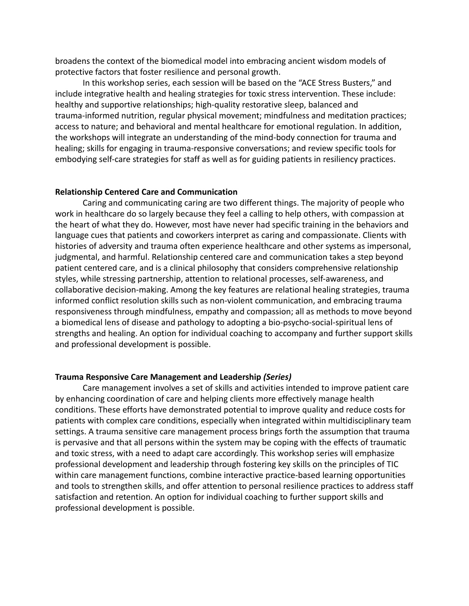broadens the context of the biomedical model into embracing ancient wisdom models of protective factors that foster resilience and personal growth.

In this workshop series, each session will be based on the "ACE Stress Busters," and include integrative health and healing strategies for toxic stress intervention. These include: healthy and supportive relationships; high-quality restorative sleep, balanced and trauma-informed nutrition, regular physical movement; mindfulness and meditation practices; access to nature; and behavioral and mental healthcare for emotional regulation. In addition, the workshops will integrate an understanding of the mind-body connection for trauma and healing; skills for engaging in trauma-responsive conversations; and review specific tools for embodying self-care strategies for staff as well as for guiding patients in resiliency practices.

#### **Relationship Centered Care and Communication**

Caring and communicating caring are two different things. The majority of people who work in healthcare do so largely because they feel a calling to help others, with compassion at the heart of what they do. However, most have never had specific training in the behaviors and language cues that patients and coworkers interpret as caring and compassionate. Clients with histories of adversity and trauma often experience healthcare and other systems as impersonal, judgmental, and harmful. Relationship centered care and communication takes a step beyond patient centered care, and is a clinical philosophy that considers comprehensive relationship styles, while stressing partnership, attention to relational processes, self-awareness, and collaborative decision-making. Among the key features are relational healing strategies, trauma informed conflict resolution skills such as non-violent communication, and embracing trauma responsiveness through mindfulness, empathy and compassion; all as methods to move beyond a biomedical lens of disease and pathology to adopting a bio-psycho-social-spiritual lens of strengths and healing. An option for individual coaching to accompany and further support skills and professional development is possible.

#### **Trauma Responsive Care Management and Leadership** *(Series)*

Care management involves a set of skills and activities intended to improve patient care by enhancing coordination of care and helping clients more effectively manage health conditions. These efforts have demonstrated potential to improve quality and reduce costs for patients with complex care conditions, especially when integrated within multidisciplinary team settings. A trauma sensitive care management process brings forth the assumption that trauma is pervasive and that all persons within the system may be coping with the effects of traumatic and toxic stress, with a need to adapt care accordingly. This workshop series will emphasize professional development and leadership through fostering key skills on the principles of TIC within care management functions, combine interactive practice-based learning opportunities and tools to strengthen skills, and offer attention to personal resilience practices to address staff satisfaction and retention. An option for individual coaching to further support skills and professional development is possible.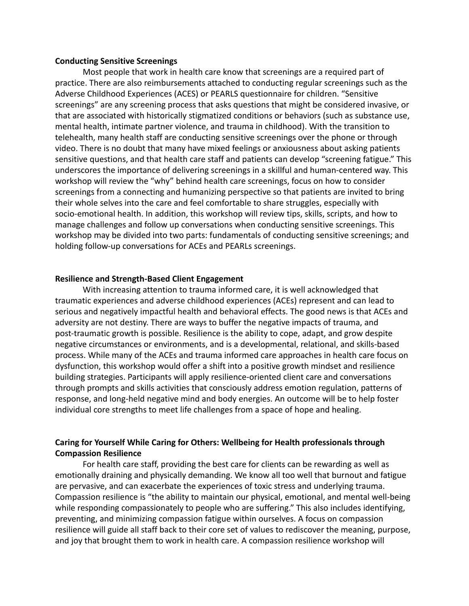#### **Conducting Sensitive Screenings**

Most people that work in health care know that screenings are a required part of practice. There are also reimbursements attached to conducting regular screenings such as the Adverse Childhood Experiences (ACES) or PEARLS questionnaire for children. "Sensitive screenings" are any screening process that asks questions that might be considered invasive, or that are associated with historically stigmatized conditions or behaviors (such as substance use, mental health, intimate partner violence, and trauma in childhood). With the transition to telehealth, many health staff are conducting sensitive screenings over the phone or through video. There is no doubt that many have mixed feelings or anxiousness about asking patients sensitive questions, and that health care staff and patients can develop "screening fatigue." This underscores the importance of delivering screenings in a skillful and human-centered way. This workshop will review the "why" behind health care screenings, focus on how to consider screenings from a connecting and humanizing perspective so that patients are invited to bring their whole selves into the care and feel comfortable to share struggles, especially with socio-emotional health. In addition, this workshop will review tips, skills, scripts, and how to manage challenges and follow up conversations when conducting sensitive screenings. This workshop may be divided into two parts: fundamentals of conducting sensitive screenings; and holding follow-up conversations for ACEs and PEARLs screenings.

#### **Resilience and Strength-Based Client Engagement**

With increasing attention to trauma informed care, it is well acknowledged that traumatic experiences and adverse childhood experiences (ACEs) represent and can lead to serious and negatively impactful health and behavioral effects. The good news is that ACEs and adversity are not destiny. There are ways to buffer the negative impacts of trauma, and post-traumatic growth is possible. Resilience is the ability to cope, adapt, and grow despite negative circumstances or environments, and is a developmental, relational, and skills-based process. While many of the ACEs and trauma informed care approaches in health care focus on dysfunction, this workshop would offer a shift into a positive growth mindset and resilience building strategies. Participants will apply resilience-oriented client care and conversations through prompts and skills activities that consciously address emotion regulation, patterns of response, and long-held negative mind and body energies. An outcome will be to help foster individual core strengths to meet life challenges from a space of hope and healing.

# **Caring for Yourself While Caring for Others: Wellbeing for Health professionals through Compassion Resilience**

For health care staff, providing the best care for clients can be rewarding as well as emotionally draining and physically demanding. We know all too well that burnout and fatigue are pervasive, and can exacerbate the experiences of toxic stress and underlying trauma. Compassion resilience is "the ability to maintain our physical, emotional, and mental well-being while responding compassionately to people who are suffering." This also includes identifying, preventing, and minimizing compassion fatigue within ourselves. A focus on compassion resilience will guide all staff back to their core set of values to rediscover the meaning, purpose, and joy that brought them to work in health care. A compassion resilience workshop will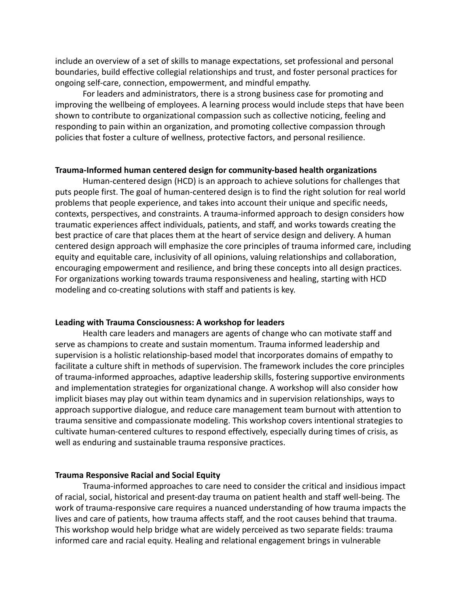include an overview of a set of skills to manage expectations, set professional and personal boundaries, build effective collegial relationships and trust, and foster personal practices for ongoing self-care, connection, empowerment, and mindful empathy.

For leaders and administrators, there is a strong business case for promoting and improving the wellbeing of employees. A learning process would include steps that have been shown to contribute to organizational compassion such as collective noticing, feeling and responding to pain within an organization, and promoting collective compassion through policies that foster a culture of wellness, protective factors, and personal resilience.

#### **Trauma-Informed human centered design for community-based health organizations**

Human-centered design (HCD) is an approach to achieve solutions for challenges that puts people first. The goal of human-centered design is to find the right solution for real world problems that people experience, and takes into account their unique and specific needs, contexts, perspectives, and constraints. A trauma-informed approach to design considers how traumatic experiences affect individuals, patients, and staff, and works towards creating the best practice of care that places them at the heart of service design and delivery. A human centered design approach will emphasize the core principles of trauma informed care, including equity and equitable care, inclusivity of all opinions, valuing relationships and collaboration, encouraging empowerment and resilience, and bring these concepts into all design practices. For organizations working towards trauma responsiveness and healing, starting with HCD modeling and co-creating solutions with staff and patients is key.

#### **Leading with Trauma Consciousness: A workshop for leaders**

Health care leaders and managers are agents of change who can motivate staff and serve as champions to create and sustain momentum. Trauma informed leadership and supervision is a holistic relationship-based model that incorporates domains of empathy to facilitate a culture shift in methods of supervision. The framework includes the core principles of trauma-informed approaches, adaptive leadership skills, fostering supportive environments and implementation strategies for organizational change. A workshop will also consider how implicit biases may play out within team dynamics and in supervision relationships, ways to approach supportive dialogue, and reduce care management team burnout with attention to trauma sensitive and compassionate modeling. This workshop covers intentional strategies to cultivate human-centered cultures to respond effectively, especially during times of crisis, as well as enduring and sustainable trauma responsive practices.

## **Trauma Responsive Racial and Social Equity**

Trauma-informed approaches to care need to consider the critical and insidious impact of racial, social, historical and present-day trauma on patient health and staff well-being. The work of trauma-responsive care requires a nuanced understanding of how trauma impacts the lives and care of patients, how trauma affects staff, and the root causes behind that trauma. This workshop would help bridge what are widely perceived as two separate fields: trauma informed care and racial equity. Healing and relational engagement brings in vulnerable